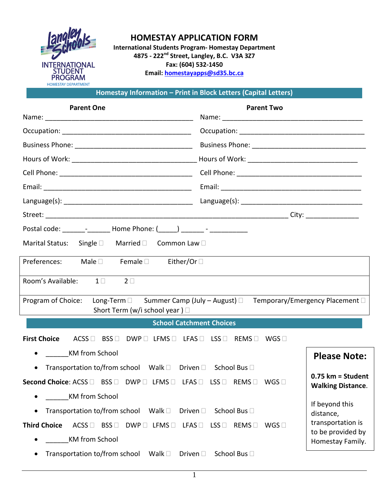

## **HOMESTAY APPLICATION FORM**

**International Students Program- Homestay Department 4875 - 222nd Street, Langley, B.C. V3A 3Z7 Fax: (604) 532-1450 Email: [homestayapps@sd35.bc.ca](mailto:homestayapps@sd35.bc.ca)**

**Homestay Information – Print in Block Letters (Capital Letters)** 

| <b>Parent One</b>                                                                                                                                                                                                                       | <b>Parent Two</b>                                                                                                                                                                                                              |                                                 |
|-----------------------------------------------------------------------------------------------------------------------------------------------------------------------------------------------------------------------------------------|--------------------------------------------------------------------------------------------------------------------------------------------------------------------------------------------------------------------------------|-------------------------------------------------|
|                                                                                                                                                                                                                                         |                                                                                                                                                                                                                                |                                                 |
|                                                                                                                                                                                                                                         |                                                                                                                                                                                                                                |                                                 |
|                                                                                                                                                                                                                                         |                                                                                                                                                                                                                                |                                                 |
|                                                                                                                                                                                                                                         |                                                                                                                                                                                                                                |                                                 |
|                                                                                                                                                                                                                                         |                                                                                                                                                                                                                                |                                                 |
|                                                                                                                                                                                                                                         |                                                                                                                                                                                                                                |                                                 |
|                                                                                                                                                                                                                                         | Language(s): National Contract Contract Contract Contract Contract Contract Contract Contract Contract Contract Contract Contract Contract Contract Contract Contract Contract Contract Contract Contract Contract Contract Co |                                                 |
|                                                                                                                                                                                                                                         |                                                                                                                                                                                                                                |                                                 |
| Postal code: _______- ________ Home Phone: (_____) _______ - ____________                                                                                                                                                               |                                                                                                                                                                                                                                |                                                 |
| Marital Status: Single □ Married □ Common Law □                                                                                                                                                                                         |                                                                                                                                                                                                                                |                                                 |
| Preferences: Male Female Either/Or                                                                                                                                                                                                      |                                                                                                                                                                                                                                |                                                 |
| Room's Available: 1□<br>$2\square$                                                                                                                                                                                                      |                                                                                                                                                                                                                                |                                                 |
| Program of Choice:<br>Short Term (w/i school year) □                                                                                                                                                                                    | Long-Term □ Summer Camp (July - August) □ Temporary/Emergency Placement □                                                                                                                                                      |                                                 |
| <b>School Catchment Choices</b>                                                                                                                                                                                                         |                                                                                                                                                                                                                                |                                                 |
| <b>First Choice</b><br>$\mathsf{ACSS} \, \Box \, \; \; \mathsf{BSS} \, \Box \, \; \; \mathsf{DWP} \, \Box \; \; \mathsf{LFMS} \, \Box \, \; \; \; \mathsf{LFS} \, \Box \, \; \; \; \mathsf{REMS} \, \Box \, \; \; \mathsf{WGS} \, \Box$ |                                                                                                                                                                                                                                |                                                 |
| <b>KM</b> from School<br>$\bullet$                                                                                                                                                                                                      |                                                                                                                                                                                                                                | <b>Please Note:</b>                             |
| Transportation to/from school Walk □ Driven □ School Bus □<br>$\bullet$                                                                                                                                                                 |                                                                                                                                                                                                                                |                                                 |
| Second Choice: ACSS □ BSS □ DWP □ LFMS □ LFAS □ LSS □ REMS □ WGS □                                                                                                                                                                      |                                                                                                                                                                                                                                | $0.75$ km = Student<br><b>Walking Distance.</b> |
| <b>KM</b> from School                                                                                                                                                                                                                   |                                                                                                                                                                                                                                | If beyond this                                  |
| Transportation to/from school<br>Walk $\square$<br>Driven $\square$                                                                                                                                                                     | School Bus □                                                                                                                                                                                                                   | distance,                                       |
| <b>Third Choice</b><br>$ACSS \Box$ BSS $\Box$<br>$DWP \Box$ LFMS $\Box$ LFAS $\Box$                                                                                                                                                     | WGS<br>$LSS$ $\square$<br>REMS                                                                                                                                                                                                 | transportation is                               |
| <b>KM</b> from School                                                                                                                                                                                                                   |                                                                                                                                                                                                                                | to be provided by<br>Homestay Family.           |
| Transportation to/from school<br>Walk $\square$<br>Driven $\square$<br>$\bullet$                                                                                                                                                        | School Bus □                                                                                                                                                                                                                   |                                                 |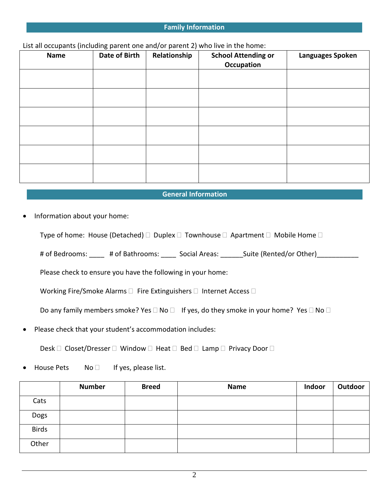#### **Family Information**

List all occupants (including parent one and/or parent 2) who live in the home:

| Name | - -<br>Date of Birth | Relationship | <b>School Attending or</b><br><b>Occupation</b> | Languages Spoken |
|------|----------------------|--------------|-------------------------------------------------|------------------|
|      |                      |              |                                                 |                  |
|      |                      |              |                                                 |                  |
|      |                      |              |                                                 |                  |
|      |                      |              |                                                 |                  |
|      |                      |              |                                                 |                  |
|      |                      |              |                                                 |                  |

#### **General Information**

• Information about your home:

Type of home: House (Detached)  $\Box$  Duplex  $\Box$  Townhouse  $\Box$  Apartment  $\Box$  Mobile Home  $\Box$ 

# of Bedrooms: \_\_\_\_ # of Bathrooms: \_\_\_\_ Social Areas: \_\_\_\_\_\_Suite (Rented/or Other)\_\_\_\_\_\_\_\_\_\_\_

Please check to ensure you have the following in your home:

Working Fire/Smoke Alarms  $\Box$  Fire Extinguishers  $\Box$  Internet Access  $\Box$ 

Do any family members smoke? Yes  $\Box$  No  $\Box$  If yes, do they smoke in your home? Yes  $\Box$  No  $\Box$ 

• Please check that your student's accommodation includes:

Desk  $\Box$  Closet/Dresser  $\Box$  Window  $\Box$  Heat  $\Box$  Bed  $\Box$  Lamp  $\Box$  Privacy Door  $\Box$ 

House Pets  $N$ o  $\Box$  If yes, please list.

|              | <b>Number</b> | <b>Breed</b> | Name | Indoor | Outdoor |
|--------------|---------------|--------------|------|--------|---------|
| Cats         |               |              |      |        |         |
| Dogs         |               |              |      |        |         |
| <b>Birds</b> |               |              |      |        |         |
| Other        |               |              |      |        |         |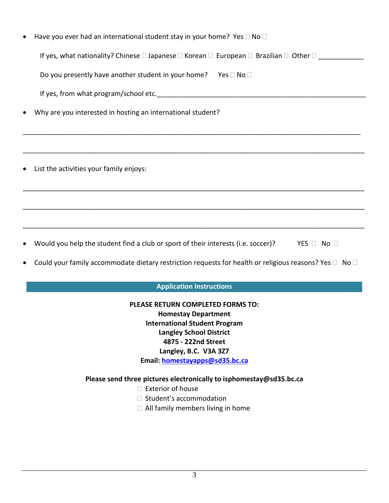|           | Have you ever had an international student stay in your home? Yes $\square$ No $\square$                                               |
|-----------|----------------------------------------------------------------------------------------------------------------------------------------|
|           | If yes, what nationality? Chinese $\square$ Japanese $\square$ Korean $\square$ European $\square$ Brazilian $\square$ Other $\square$ |
|           | Do you presently have another student in your home? Yes $\square$ No $\square$                                                         |
|           | If yes, from what program/school etc.                                                                                                  |
| $\bullet$ | Why are you interested in hosting an international student?                                                                            |
|           |                                                                                                                                        |
| $\bullet$ | List the activities your family enjoys:                                                                                                |
|           |                                                                                                                                        |
|           |                                                                                                                                        |

- Would you help the student find a club or sport of their interests (i.e. soccer)? YES  $\Box$  No  $\Box$
- Could your family accommodate dietary restriction requests for health or religious reasons? Yes  $\Box$  No  $\Box$

## **Application Instructions**

**PLEASE RETURN COMPLETED FORMS TO: Homestay Department International Student Program Langley School District 4875 - 222nd Street Langley, B.C. V3A 3Z7 Email: [homestayapps@sd35.bc.ca](mailto:homestayapps@sd35.bc.ca)**

# **Please send three pictures electronically to isphomestay@sd35.bc.ca**

- $\square$  Exterior of house
- $\Box$  Student's accommodation
- $\Box$  All family members living in home